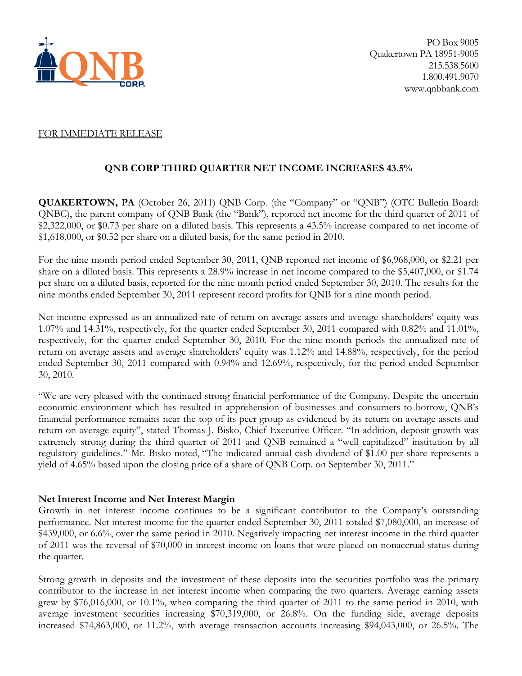

## FOR IMMEDIATE RELEASE

# **QNB CORP THIRD QUARTER NET INCOME INCREASES 43.5%**

**QUAKERTOWN, PA** (October 26, 2011) QNB Corp. (the "Company" or "QNB") (OTC Bulletin Board: QNBC), the parent company of QNB Bank (the "Bank"), reported net income for the third quarter of 2011 of \$2,322,000, or \$0.73 per share on a diluted basis. This represents a 43.5% increase compared to net income of \$1,618,000, or \$0.52 per share on a diluted basis, for the same period in 2010.

For the nine month period ended September 30, 2011, QNB reported net income of \$6,968,000, or \$2.21 per share on a diluted basis. This represents a 28.9% increase in net income compared to the \$5,407,000, or \$1.74 per share on a diluted basis, reported for the nine month period ended September 30, 2010. The results for the nine months ended September 30, 2011 represent record profits for QNB for a nine month period.

Net income expressed as an annualized rate of return on average assets and average shareholders' equity was 1.07% and 14.31%, respectively, for the quarter ended September 30, 2011 compared with 0.82% and 11.01%, respectively, for the quarter ended September 30, 2010. For the nine-month periods the annualized rate of return on average assets and average shareholders' equity was 1.12% and 14.88%, respectively, for the period ended September 30, 2011 compared with 0.94% and 12.69%, respectively, for the period ended September 30, 2010.

"We are very pleased with the continued strong financial performance of the Company. Despite the uncertain economic environment which has resulted in apprehension of businesses and consumers to borrow, QNB's financial performance remains near the top of its peer group as evidenced by its return on average assets and return on average equity", stated Thomas J. Bisko, Chief Executive Officer. "In addition, deposit growth was extremely strong during the third quarter of 2011 and QNB remained a "well capitalized" institution by all regulatory guidelines." Mr. Bisko noted, "The indicated annual cash dividend of \$1.00 per share represents a yield of 4.65% based upon the closing price of a share of QNB Corp. on September 30, 2011."

# **Net Interest Income and Net Interest Margin**

Growth in net interest income continues to be a significant contributor to the Company's outstanding performance. Net interest income for the quarter ended September 30, 2011 totaled \$7,080,000, an increase of \$439,000, or 6.6%, over the same period in 2010. Negatively impacting net interest income in the third quarter of 2011 was the reversal of \$70,000 in interest income on loans that were placed on nonaccrual status during the quarter.

Strong growth in deposits and the investment of these deposits into the securities portfolio was the primary contributor to the increase in net interest income when comparing the two quarters. Average earning assets grew by \$76,016,000, or 10.1%, when comparing the third quarter of 2011 to the same period in 2010, with average investment securities increasing \$70,319,000, or 26.8%. On the funding side, average deposits increased \$74,863,000, or 11.2%, with average transaction accounts increasing \$94,043,000, or 26.5%. The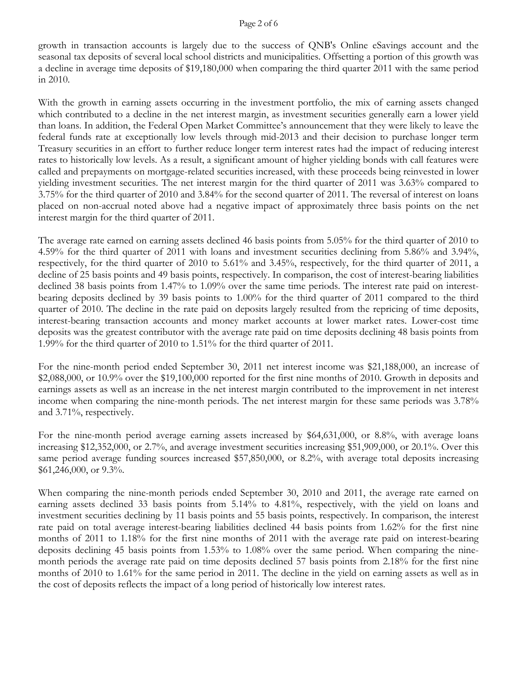### Page 2 of 6

growth in transaction accounts is largely due to the success of QNB's Online eSavings account and the seasonal tax deposits of several local school districts and municipalities. Offsetting a portion of this growth was a decline in average time deposits of \$19,180,000 when comparing the third quarter 2011 with the same period in 2010.

With the growth in earning assets occurring in the investment portfolio, the mix of earning assets changed which contributed to a decline in the net interest margin, as investment securities generally earn a lower yield than loans. In addition, the Federal Open Market Committee's announcement that they were likely to leave the federal funds rate at exceptionally low levels through mid-2013 and their decision to purchase longer term Treasury securities in an effort to further reduce longer term interest rates had the impact of reducing interest rates to historically low levels. As a result, a significant amount of higher yielding bonds with call features were called and prepayments on mortgage-related securities increased, with these proceeds being reinvested in lower yielding investment securities. The net interest margin for the third quarter of 2011 was 3.63% compared to 3.75% for the third quarter of 2010 and 3.84% for the second quarter of 2011. The reversal of interest on loans placed on non-accrual noted above had a negative impact of approximately three basis points on the net interest margin for the third quarter of 2011.

The average rate earned on earning assets declined 46 basis points from 5.05% for the third quarter of 2010 to 4.59% for the third quarter of 2011 with loans and investment securities declining from 5.86% and 3.94%, respectively, for the third quarter of 2010 to 5.61% and 3.45%, respectively, for the third quarter of 2011, a decline of 25 basis points and 49 basis points, respectively. In comparison, the cost of interest-bearing liabilities declined 38 basis points from 1.47% to 1.09% over the same time periods. The interest rate paid on interestbearing deposits declined by 39 basis points to 1.00% for the third quarter of 2011 compared to the third quarter of 2010. The decline in the rate paid on deposits largely resulted from the repricing of time deposits, interest-bearing transaction accounts and money market accounts at lower market rates. Lower-cost time deposits was the greatest contributor with the average rate paid on time deposits declining 48 basis points from 1.99% for the third quarter of 2010 to 1.51% for the third quarter of 2011.

For the nine-month period ended September 30, 2011 net interest income was \$21,188,000, an increase of \$2,088,000, or 10.9% over the \$19,100,000 reported for the first nine months of 2010. Growth in deposits and earnings assets as well as an increase in the net interest margin contributed to the improvement in net interest income when comparing the nine-month periods. The net interest margin for these same periods was 3.78% and 3.71%, respectively.

For the nine-month period average earning assets increased by \$64,631,000, or 8.8%, with average loans increasing \$12,352,000, or 2.7%, and average investment securities increasing \$51,909,000, or 20.1%. Over this same period average funding sources increased \$57,850,000, or 8.2%, with average total deposits increasing \$61,246,000, or 9.3%.

When comparing the nine-month periods ended September 30, 2010 and 2011, the average rate earned on earning assets declined 33 basis points from 5.14% to 4.81%, respectively, with the yield on loans and investment securities declining by 11 basis points and 55 basis points, respectively. In comparison, the interest rate paid on total average interest-bearing liabilities declined 44 basis points from 1.62% for the first nine months of 2011 to 1.18% for the first nine months of 2011 with the average rate paid on interest-bearing deposits declining 45 basis points from 1.53% to 1.08% over the same period. When comparing the ninemonth periods the average rate paid on time deposits declined 57 basis points from 2.18% for the first nine months of 2010 to 1.61% for the same period in 2011. The decline in the yield on earning assets as well as in the cost of deposits reflects the impact of a long period of historically low interest rates.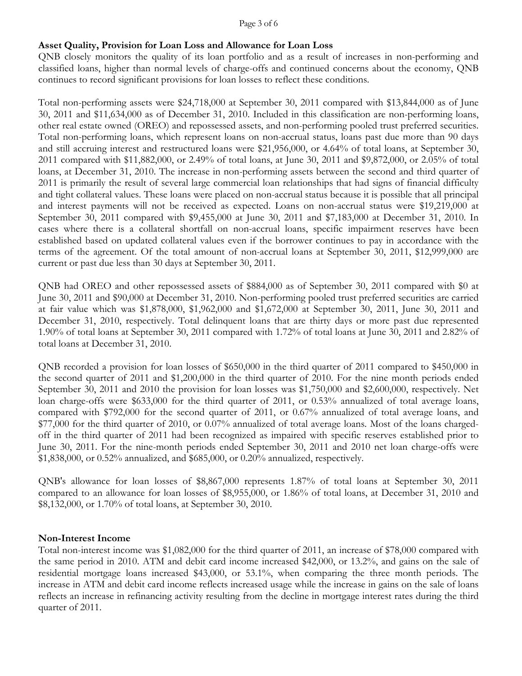### Page 3 of 6

## **Asset Quality, Provision for Loan Loss and Allowance for Loan Loss**

QNB closely monitors the quality of its loan portfolio and as a result of increases in non-performing and classified loans, higher than normal levels of charge-offs and continued concerns about the economy, QNB continues to record significant provisions for loan losses to reflect these conditions.

Total non-performing assets were \$24,718,000 at September 30, 2011 compared with \$13,844,000 as of June 30, 2011 and \$11,634,000 as of December 31, 2010. Included in this classification are non-performing loans, other real estate owned (OREO) and repossessed assets, and non-performing pooled trust preferred securities. Total non-performing loans, which represent loans on non-accrual status, loans past due more than 90 days and still accruing interest and restructured loans were \$21,956,000, or 4.64% of total loans, at September 30, 2011 compared with \$11,882,000, or 2.49% of total loans, at June 30, 2011 and \$9,872,000, or 2.05% of total loans, at December 31, 2010. The increase in non-performing assets between the second and third quarter of 2011 is primarily the result of several large commercial loan relationships that had signs of financial difficulty and tight collateral values. These loans were placed on non-accrual status because it is possible that all principal and interest payments will not be received as expected. Loans on non-accrual status were \$19,219,000 at September 30, 2011 compared with \$9,455,000 at June 30, 2011 and \$7,183,000 at December 31, 2010. In cases where there is a collateral shortfall on non-accrual loans, specific impairment reserves have been established based on updated collateral values even if the borrower continues to pay in accordance with the terms of the agreement. Of the total amount of non-accrual loans at September 30, 2011, \$12,999,000 are current or past due less than 30 days at September 30, 2011.

QNB had OREO and other repossessed assets of \$884,000 as of September 30, 2011 compared with \$0 at June 30, 2011 and \$90,000 at December 31, 2010. Non-performing pooled trust preferred securities are carried at fair value which was \$1,878,000, \$1,962,000 and \$1,672,000 at September 30, 2011, June 30, 2011 and December 31, 2010, respectively. Total delinquent loans that are thirty days or more past due represented 1.90% of total loans at September 30, 2011 compared with 1.72% of total loans at June 30, 2011 and 2.82% of total loans at December 31, 2010.

QNB recorded a provision for loan losses of \$650,000 in the third quarter of 2011 compared to \$450,000 in the second quarter of 2011 and \$1,200,000 in the third quarter of 2010. For the nine month periods ended September 30, 2011 and 2010 the provision for loan losses was \$1,750,000 and \$2,600,000, respectively. Net loan charge-offs were \$633,000 for the third quarter of 2011, or 0.53% annualized of total average loans, compared with \$792,000 for the second quarter of 2011, or 0.67% annualized of total average loans, and \$77,000 for the third quarter of 2010, or 0.07% annualized of total average loans. Most of the loans chargedoff in the third quarter of 2011 had been recognized as impaired with specific reserves established prior to June 30, 2011. For the nine-month periods ended September 30, 2011 and 2010 net loan charge-offs were \$1,838,000, or 0.52% annualized, and \$685,000, or 0.20% annualized, respectively.

QNB's allowance for loan losses of \$8,867,000 represents 1.87% of total loans at September 30, 2011 compared to an allowance for loan losses of \$8,955,000, or 1.86% of total loans, at December 31, 2010 and \$8,132,000, or 1.70% of total loans, at September 30, 2010.

## **Non-Interest Income**

Total non-interest income was \$1,082,000 for the third quarter of 2011, an increase of \$78,000 compared with the same period in 2010. ATM and debit card income increased \$42,000, or 13.2%, and gains on the sale of residential mortgage loans increased \$43,000, or 53.1%, when comparing the three month periods. The increase in ATM and debit card income reflects increased usage while the increase in gains on the sale of loans reflects an increase in refinancing activity resulting from the decline in mortgage interest rates during the third quarter of 2011.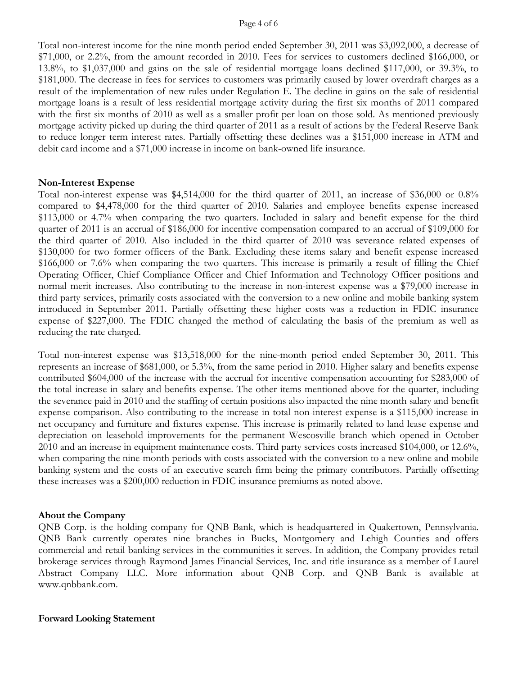### Page 4 of 6

Total non-interest income for the nine month period ended September 30, 2011 was \$3,092,000, a decrease of \$71,000, or 2.2%, from the amount recorded in 2010. Fees for services to customers declined \$166,000, or 13.8%, to \$1,037,000 and gains on the sale of residential mortgage loans declined \$117,000, or 39.3%, to \$181,000. The decrease in fees for services to customers was primarily caused by lower overdraft charges as a result of the implementation of new rules under Regulation E. The decline in gains on the sale of residential mortgage loans is a result of less residential mortgage activity during the first six months of 2011 compared with the first six months of 2010 as well as a smaller profit per loan on those sold. As mentioned previously mortgage activity picked up during the third quarter of 2011 as a result of actions by the Federal Reserve Bank to reduce longer term interest rates. Partially offsetting these declines was a \$151,000 increase in ATM and debit card income and a \$71,000 increase in income on bank-owned life insurance.

### **Non-Interest Expense**

Total non-interest expense was \$4,514,000 for the third quarter of 2011, an increase of \$36,000 or 0.8% compared to \$4,478,000 for the third quarter of 2010. Salaries and employee benefits expense increased \$113,000 or 4.7% when comparing the two quarters. Included in salary and benefit expense for the third quarter of 2011 is an accrual of \$186,000 for incentive compensation compared to an accrual of \$109,000 for the third quarter of 2010. Also included in the third quarter of 2010 was severance related expenses of \$130,000 for two former officers of the Bank. Excluding these items salary and benefit expense increased \$166,000 or 7.6% when comparing the two quarters. This increase is primarily a result of filling the Chief Operating Officer, Chief Compliance Officer and Chief Information and Technology Officer positions and normal merit increases. Also contributing to the increase in non-interest expense was a \$79,000 increase in third party services, primarily costs associated with the conversion to a new online and mobile banking system introduced in September 2011. Partially offsetting these higher costs was a reduction in FDIC insurance expense of \$227,000. The FDIC changed the method of calculating the basis of the premium as well as reducing the rate charged.

Total non-interest expense was \$13,518,000 for the nine-month period ended September 30, 2011. This represents an increase of \$681,000, or 5.3%, from the same period in 2010. Higher salary and benefits expense contributed \$604,000 of the increase with the accrual for incentive compensation accounting for \$283,000 of the total increase in salary and benefits expense. The other items mentioned above for the quarter, including the severance paid in 2010 and the staffing of certain positions also impacted the nine month salary and benefit expense comparison. Also contributing to the increase in total non-interest expense is a \$115,000 increase in net occupancy and furniture and fixtures expense. This increase is primarily related to land lease expense and depreciation on leasehold improvements for the permanent Wescosville branch which opened in October 2010 and an increase in equipment maintenance costs. Third party services costs increased \$104,000, or 12.6%, when comparing the nine-month periods with costs associated with the conversion to a new online and mobile banking system and the costs of an executive search firm being the primary contributors. Partially offsetting these increases was a \$200,000 reduction in FDIC insurance premiums as noted above.

### **About the Company**

QNB Corp. is the holding company for QNB Bank, which is headquartered in Quakertown, Pennsylvania. QNB Bank currently operates nine branches in Bucks, Montgomery and Lehigh Counties and offers commercial and retail banking services in the communities it serves. In addition, the Company provides retail brokerage services through Raymond James Financial Services, Inc. and title insurance as a member of Laurel Abstract Company LLC. More information about QNB Corp. and QNB Bank is available at www.qnbbank.com.

### **Forward Looking Statement**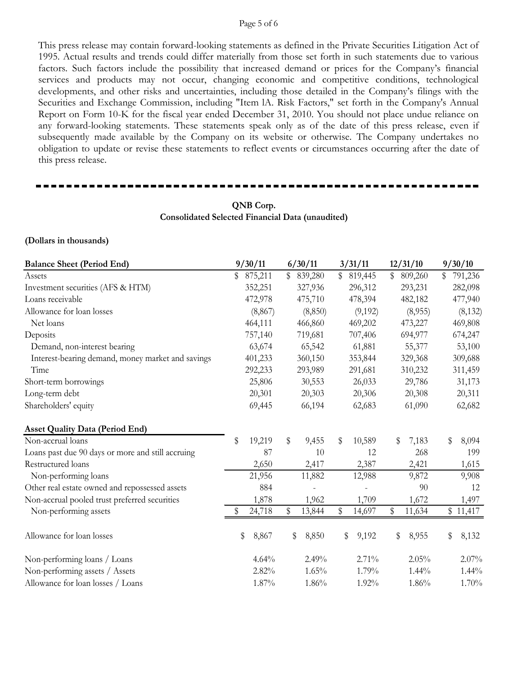#### Page 5 of 6

This press release may contain forward-looking statements as defined in the Private Securities Litigation Act of 1995. Actual results and trends could differ materially from those set forth in such statements due to various factors. Such factors include the possibility that increased demand or prices for the Company's financial services and products may not occur, changing economic and competitive conditions, technological developments, and other risks and uncertainties, including those detailed in the Company's filings with the Securities and Exchange Commission, including "Item lA. Risk Factors," set forth in the Company's Annual Report on Form 10-K for the fiscal year ended December 31, 2010. You should not place undue reliance on any forward-looking statements. These statements speak only as of the date of this press release, even if subsequently made available by the Company on its website or otherwise. The Company undertakes no obligation to update or revise these statements to reflect events or circumstances occurring after the date of this press release.

## **QNB Corp. Consolidated Selected Financial Data (unaudited)**

#### **(Dollars in thousands)**

| <b>Balance Sheet (Period End)</b>                 |    | 9/30/11  |              | 6/30/11  | 3/31/11       | 12/31/10     | 9/30/10       |
|---------------------------------------------------|----|----------|--------------|----------|---------------|--------------|---------------|
| Assets                                            | \$ | 875,211  | $\mathbb{S}$ | 839,280  | \$<br>819,445 | \$809,260    | \$<br>791,236 |
| Investment securities (AFS & HTM)                 |    | 352,251  |              | 327,936  | 296,312       | 293,231      | 282,098       |
| Loans receivable                                  |    | 472,978  |              | 475,710  | 478,394       | 482,182      | 477,940       |
| Allowance for loan losses                         |    | (8, 867) |              | (8, 850) | (9,192)       | (8,955)      | (8, 132)      |
| Net loans                                         |    | 464,111  |              | 466,860  | 469,202       | 473,227      | 469,808       |
| Deposits                                          |    | 757,140  |              | 719,681  | 707,406       | 694,977      | 674,247       |
| Demand, non-interest bearing                      |    | 63,674   |              | 65,542   | 61,881        | 55,377       | 53,100        |
| Interest-bearing demand, money market and savings |    | 401,233  |              | 360,150  | 353,844       | 329,368      | 309,688       |
| Time                                              |    | 292,233  |              | 293,989  | 291,681       | 310,232      | 311,459       |
| Short-term borrowings                             |    | 25,806   |              | 30,553   | 26,033        | 29,786       | 31,173        |
| Long-term debt                                    |    | 20,301   |              | 20,303   | 20,306        | 20,308       | 20,311        |
| Shareholders' equity                              |    | 69,445   |              | 66,194   | 62,683        | 61,090       | 62,682        |
| <b>Asset Quality Data (Period End)</b>            |    |          |              |          |               |              |               |
| Non-accrual loans                                 | \$ | 19,219   | \$           | 9,455    | \$<br>10,589  | \$<br>7,183  | \$<br>8,094   |
| Loans past due 90 days or more and still accruing |    | 87       |              | 10       | 12            | 268          | 199           |
| Restructured loans                                |    | 2,650    |              | 2,417    | 2,387         | 2,421        | 1,615         |
| Non-performing loans                              |    | 21,956   |              | 11,882   | 12,988        | 9,872        | 9,908         |
| Other real estate owned and repossessed assets    |    | 884      |              |          |               | 90           | 12            |
| Non-accrual pooled trust preferred securities     |    | 1,878    |              | 1,962    | 1,709         | 1,672        | 1,497         |
| Non-performing assets                             | S  | 24,718   | \$           | 13,844   | \$<br>14,697  | \$<br>11,634 | \$11,417      |
| Allowance for loan losses                         | \$ | 8,867    | \$           | 8,850    | \$<br>9,192   | \$<br>8,955  | \$<br>8,132   |
| Non-performing loans / Loans                      |    | 4.64%    |              | 2.49%    | 2.71%         | 2.05%        | 2.07%         |
| Non-performing assets / Assets                    |    | 2.82%    |              | 1.65%    | 1.79%         | $1.44\%$     | $1.44\%$      |
| Allowance for loan losses / Loans                 |    | 1.87%    |              | 1.86%    | 1.92%         | 1.86%        | 1.70%         |